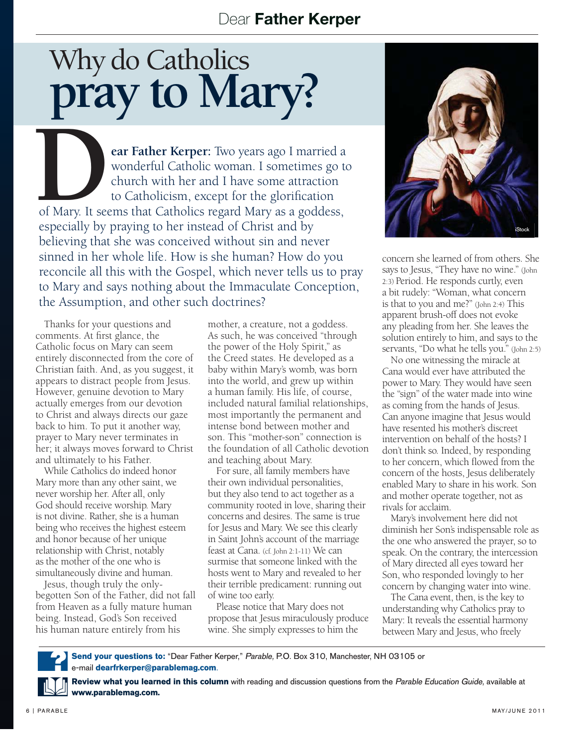## Dear Father Kerper

## Why do Catholics why do Catholics<br>**pray to Mary?**

**DEAY ROU IVEAL Y:**<br>
ear Father Kerper: Two years ago I married a<br>
wonderful Catholic woman. I sometimes go to<br>
church with her and I have some attraction<br>
to Catholicism. except for the glorification wonderful Catholic woman. I sometimes go to church with her and I have some attraction to Catholicism, except for the glorification of Mary. It seems that Catholics regard Mary as a goddess, especially by praying to her instead of Christ and by believing that she was conceived without sin and never sinned in her whole life. How is she human? How do you reconcile all this with the Gospel, which never tells us to pray to Mary and says nothing about the Immaculate Conception, the Assumption, and other such doctrines?

Thanks for your questions and comments. At first glance, the Catholic focus on Mary can seem entirely disconnected from the core of Christian faith. And, as you suggest, it appears to distract people from Jesus. However, genuine devotion to Mary actually emerges from our devotion to Christ and always directs our gaze back to him. To put it another way, prayer to Mary never terminates in her; it always moves forward to Christ and ultimately to his Father.

While Catholics do indeed honor Mary more than any other saint, we never worship her. After all, only God should receive worship. Mary is not divine. Rather, she is a human being who receives the highest esteem and honor because of her unique relationship with Christ, notably as the mother of the one who is simultaneously divine and human.

Jesus, though truly the onlybegotten Son of the Father, did not fall from Heaven as a fully mature human being. Instead, God's Son received his human nature entirely from his

mother, a creature, not a goddess. As such, he was conceived "through the power of the Holy Spirit," as the Creed states. He developed as a baby within Mary's womb, was born into the world, and grew up within a human family. His life, of course, included natural familial relationships, most importantly the permanent and intense bond between mother and son. This "mother-son" connection is the foundation of all Catholic devotion and teaching about Mary.

For sure, all family members have their own individual personalities, but they also tend to act together as a community rooted in love, sharing their concerns and desires. The same is true for Jesus and Mary. We see this clearly in Saint John's account of the marriage feast at Cana. (cf. John 2:1-11) We can surmise that someone linked with the hosts went to Mary and revealed to her their terrible predicament: running out of wine too early.

Please notice that Mary does not propose that Jesus miraculously produce wine. She simply expresses to him the



concern she learned of from others. She says to Jesus, "They have no wine." (John 2:3) Period. He responds curtly, even a bit rudely: "Woman, what concern is that to you and me?" (John 2:4) This apparent brush-off does not evoke any pleading from her. She leaves the solution entirely to him, and says to the servants, "Do what he tells you." (John 2:5)

No one witnessing the miracle at Cana would ever have attributed the power to Mary. They would have seen the "sign" of the water made into wine as coming from the hands of Jesus. Can anyone imagine that Jesus would have resented his mother's discreet intervention on behalf of the hosts? I don't think so. Indeed, by responding to her concern, which flowed from the concern of the hosts, Jesus deliberately enabled Mary to share in his work. Son and mother operate together, not as rivals for acclaim.

Mary's involvement here did not diminish her Son's indispensable role as the one who answered the prayer, so to speak. On the contrary, the intercession of Mary directed all eyes toward her Son, who responded lovingly to her concern by changing water into wine.

The Cana event, then, is the key to understanding why Catholics pray to Mary: It reveals the essential harmony between Mary and Jesus, who freely



**Send your questions to:** "Dear Father Kerper," Parable, P.O. Box 310, Manchester, NH 03105 or e-mail **dearfrkerper@parablemag.com**.

**Review what you learned in this column** with reading and discussion questions from the Parable Education Guide, available at **www.parablemag.com.**